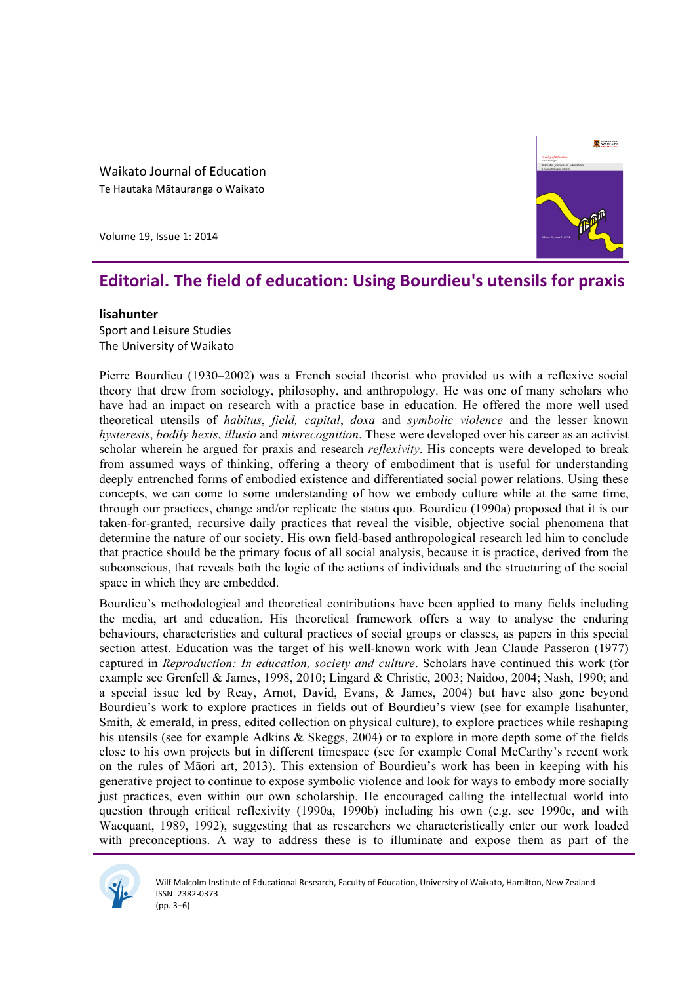Waikato Journal of Education Te Hautaka Mātauranga o Waikato

Volume 19, Issue 1: 2014



# **Editorial. The field of education: Using Bourdieu's utensils for praxis**

### **lisahunter**

Sport and Leisure Studies The University of Waikato

Pierre Bourdieu (1930–2002) was a French social theorist who provided us with a reflexive social theory that drew from sociology, philosophy, and anthropology. He was one of many scholars who have had an impact on research with a practice base in education. He offered the more well used theoretical utensils of *habitus*, *field, capital*, *doxa* and *symbolic violence* and the lesser known *hysteresis*, *bodily hexis*, *illusio* and *misrecognition*. These were developed over his career as an activist scholar wherein he argued for praxis and research *reflexivity*. His concepts were developed to break from assumed ways of thinking, offering a theory of embodiment that is useful for understanding deeply entrenched forms of embodied existence and differentiated social power relations. Using these concepts, we can come to some understanding of how we embody culture while at the same time, through our practices, change and/or replicate the status quo. Bourdieu (1990a) proposed that it is our taken-for-granted, recursive daily practices that reveal the visible, objective social phenomena that determine the nature of our society. His own field-based anthropological research led him to conclude that practice should be the primary focus of all social analysis, because it is practice, derived from the subconscious, that reveals both the logic of the actions of individuals and the structuring of the social space in which they are embedded.

Bourdieu's methodological and theoretical contributions have been applied to many fields including the media, art and education. His theoretical framework offers a way to analyse the enduring behaviours, characteristics and cultural practices of social groups or classes, as papers in this special section attest. Education was the target of his well-known work with Jean Claude Passeron (1977) captured in *Reproduction: In education, society and culture*. Scholars have continued this work (for example see Grenfell & James, 1998, 2010; Lingard & Christie, 2003; Naidoo, 2004; Nash, 1990; and a special issue led by Reay, Arnot, David, Evans, & James, 2004) but have also gone beyond Bourdieu's work to explore practices in fields out of Bourdieu's view (see for example lisahunter, Smith, & emerald, in press, edited collection on physical culture), to explore practices while reshaping his utensils (see for example Adkins & Skeggs, 2004) or to explore in more depth some of the fields close to his own projects but in different timespace (see for example Conal McCarthy's recent work on the rules of Māori art, 2013). This extension of Bourdieu's work has been in keeping with his generative project to continue to expose symbolic violence and look for ways to embody more socially just practices, even within our own scholarship. He encouraged calling the intellectual world into question through critical reflexivity (1990a, 1990b) including his own (e.g. see 1990c, and with Wacquant, 1989, 1992), suggesting that as researchers we characteristically enter our work loaded with preconceptions. A way to address these is to illuminate and expose them as part of the

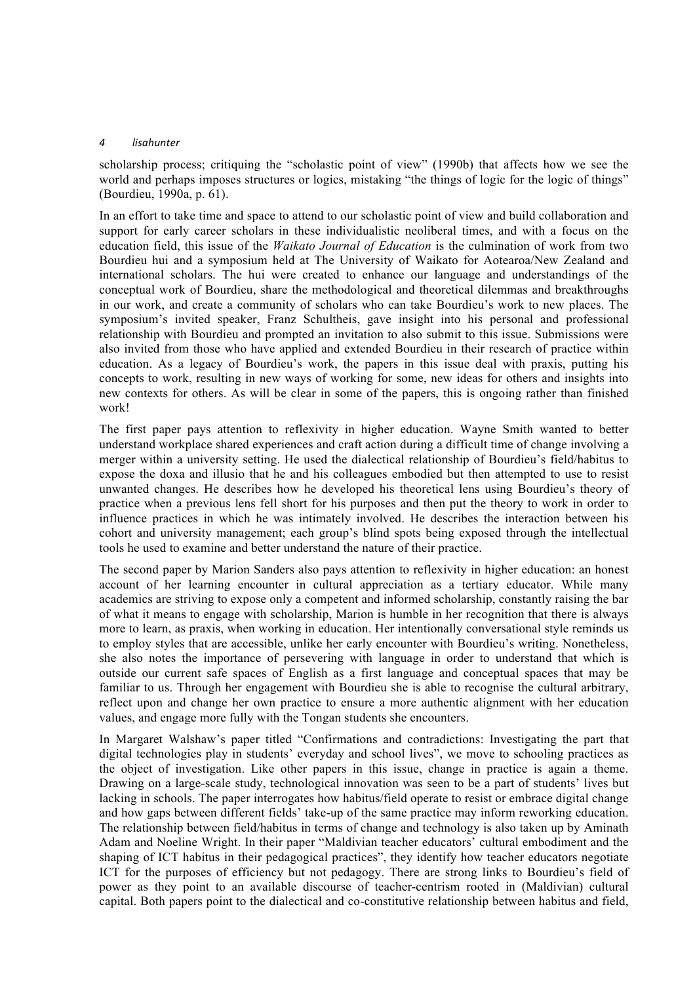#### *4 lisahunter*

scholarship process; critiquing the "scholastic point of view" (1990b) that affects how we see the world and perhaps imposes structures or logics, mistaking "the things of logic for the logic of things" (Bourdieu, 1990a, p. 61).

In an effort to take time and space to attend to our scholastic point of view and build collaboration and support for early career scholars in these individualistic neoliberal times, and with a focus on the education field, this issue of the *Waikato Journal of Education* is the culmination of work from two Bourdieu hui and a symposium held at The University of Waikato for Aotearoa/New Zealand and international scholars. The hui were created to enhance our language and understandings of the conceptual work of Bourdieu, share the methodological and theoretical dilemmas and breakthroughs in our work, and create a community of scholars who can take Bourdieu's work to new places. The symposium's invited speaker, Franz Schultheis, gave insight into his personal and professional relationship with Bourdieu and prompted an invitation to also submit to this issue. Submissions were also invited from those who have applied and extended Bourdieu in their research of practice within education. As a legacy of Bourdieu's work, the papers in this issue deal with praxis, putting his concepts to work, resulting in new ways of working for some, new ideas for others and insights into new contexts for others. As will be clear in some of the papers, this is ongoing rather than finished work!

The first paper pays attention to reflexivity in higher education. Wayne Smith wanted to better understand workplace shared experiences and craft action during a difficult time of change involving a merger within a university setting. He used the dialectical relationship of Bourdieu's field/habitus to expose the doxa and illusio that he and his colleagues embodied but then attempted to use to resist unwanted changes. He describes how he developed his theoretical lens using Bourdieu's theory of practice when a previous lens fell short for his purposes and then put the theory to work in order to influence practices in which he was intimately involved. He describes the interaction between his cohort and university management; each group's blind spots being exposed through the intellectual tools he used to examine and better understand the nature of their practice.

The second paper by Marion Sanders also pays attention to reflexivity in higher education: an honest account of her learning encounter in cultural appreciation as a tertiary educator. While many academics are striving to expose only a competent and informed scholarship, constantly raising the bar of what it means to engage with scholarship, Marion is humble in her recognition that there is always more to learn, as praxis, when working in education. Her intentionally conversational style reminds us to employ styles that are accessible, unlike her early encounter with Bourdieu's writing. Nonetheless, she also notes the importance of persevering with language in order to understand that which is outside our current safe spaces of English as a first language and conceptual spaces that may be familiar to us. Through her engagement with Bourdieu she is able to recognise the cultural arbitrary, reflect upon and change her own practice to ensure a more authentic alignment with her education values, and engage more fully with the Tongan students she encounters.

In Margaret Walshaw's paper titled "Confirmations and contradictions: Investigating the part that digital technologies play in students' everyday and school lives", we move to schooling practices as the object of investigation. Like other papers in this issue, change in practice is again a theme. Drawing on a large-scale study, technological innovation was seen to be a part of students' lives but lacking in schools. The paper interrogates how habitus/field operate to resist or embrace digital change and how gaps between different fields' take-up of the same practice may inform reworking education. The relationship between field/habitus in terms of change and technology is also taken up by Aminath Adam and Noeline Wright. In their paper "Maldivian teacher educators' cultural embodiment and the shaping of ICT habitus in their pedagogical practices", they identify how teacher educators negotiate ICT for the purposes of efficiency but not pedagogy. There are strong links to Bourdieu's field of power as they point to an available discourse of teacher-centrism rooted in (Maldivian) cultural capital. Both papers point to the dialectical and co-constitutive relationship between habitus and field,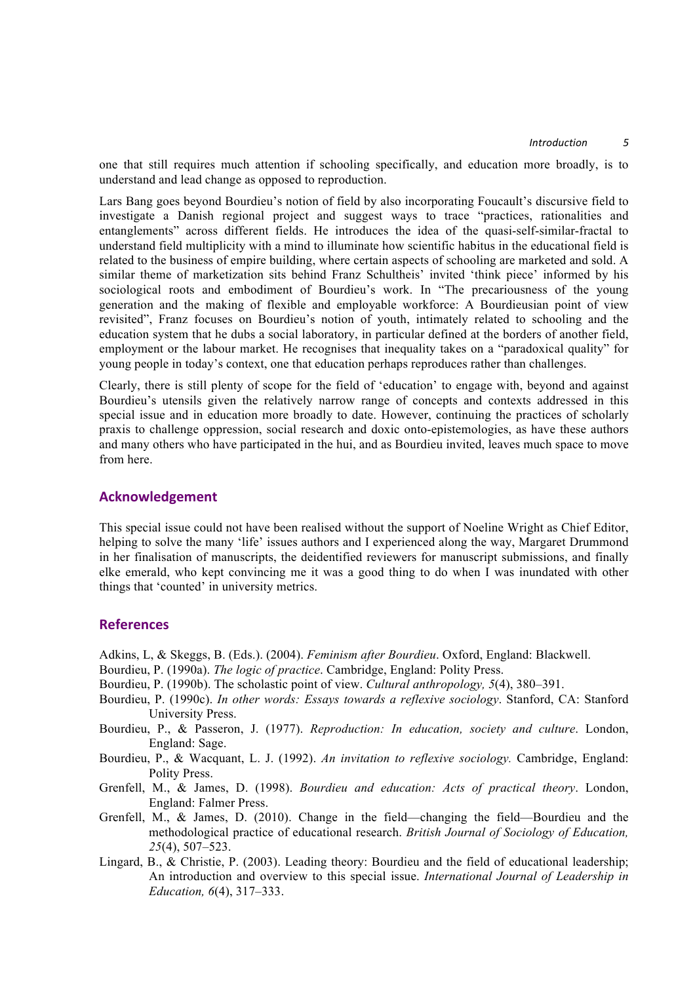one that still requires much attention if schooling specifically, and education more broadly, is to understand and lead change as opposed to reproduction.

Lars Bang goes beyond Bourdieu's notion of field by also incorporating Foucault's discursive field to investigate a Danish regional project and suggest ways to trace "practices, rationalities and entanglements" across different fields. He introduces the idea of the quasi-self-similar-fractal to understand field multiplicity with a mind to illuminate how scientific habitus in the educational field is related to the business of empire building, where certain aspects of schooling are marketed and sold. A similar theme of marketization sits behind Franz Schultheis' invited 'think piece' informed by his sociological roots and embodiment of Bourdieu's work. In "The precariousness of the young generation and the making of flexible and employable workforce: A Bourdieusian point of view revisited", Franz focuses on Bourdieu's notion of youth, intimately related to schooling and the education system that he dubs a social laboratory, in particular defined at the borders of another field, employment or the labour market. He recognises that inequality takes on a "paradoxical quality" for young people in today's context, one that education perhaps reproduces rather than challenges.

Clearly, there is still plenty of scope for the field of 'education' to engage with, beyond and against Bourdieu's utensils given the relatively narrow range of concepts and contexts addressed in this special issue and in education more broadly to date. However, continuing the practices of scholarly praxis to challenge oppression, social research and doxic onto-epistemologies, as have these authors and many others who have participated in the hui, and as Bourdieu invited, leaves much space to move from here.

## **Acknowledgement**

This special issue could not have been realised without the support of Noeline Wright as Chief Editor, helping to solve the many 'life' issues authors and I experienced along the way, Margaret Drummond in her finalisation of manuscripts, the deidentified reviewers for manuscript submissions, and finally elke emerald, who kept convincing me it was a good thing to do when I was inundated with other things that 'counted' in university metrics.

## **References**

Adkins, L, & Skeggs, B. (Eds.). (2004). *Feminism after Bourdieu*. Oxford, England: Blackwell.

- Bourdieu, P. (1990a). *The logic of practice*. Cambridge, England: Polity Press.
- Bourdieu, P. (1990b). The scholastic point of view. *Cultural anthropology, 5*(4), 380–391.
- Bourdieu, P. (1990c). *In other words: Essays towards a reflexive sociology*. Stanford, CA: Stanford University Press.
- Bourdieu, P., & Passeron, J. (1977). *Reproduction: In education, society and culture*. London, England: Sage.
- Bourdieu, P., & Wacquant, L. J. (1992). *An invitation to reflexive sociology.* Cambridge, England: Polity Press.
- Grenfell, M., & James, D. (1998). *Bourdieu and education: Acts of practical theory*. London, England: Falmer Press.
- Grenfell, M., & James, D. (2010). Change in the field—changing the field—Bourdieu and the methodological practice of educational research. *British Journal of Sociology of Education, 25*(4), 507–523.
- Lingard, B., & Christie, P. (2003). Leading theory: Bourdieu and the field of educational leadership; An introduction and overview to this special issue. *International Journal of Leadership in Education, 6*(4), 317–333.